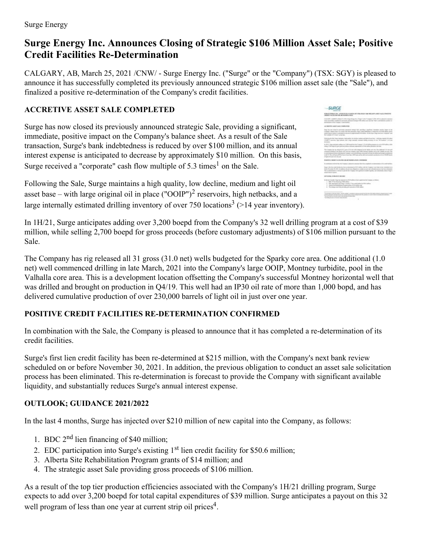# **Surge Energy Inc. Announces Closing of Strategic \$106 Million Asset Sale; Positive Credit Facilities Re-Determination**

CALGARY, AB, March 25, 2021 /CNW/ - Surge Energy Inc. ("Surge" or the "Company") (TSX: SGY) is pleased to announce it has successfully completed its previously announced strategic \$106 million asset sale (the "Sale"), and finalized a positive re-determination of the Company's credit facilities.

# **ACCRETIVE ASSET SALE COMPLETED**

Surge has now closed its previously announced strategic Sale, providing a significant, immediate, positive impact on the Company's balance sheet. As a result of the Sale transaction, Surge's bank indebtedness is reduced by over \$100 million, and its annual interest expense is anticipated to decrease by approximately \$10 million. On this basis, Surge received a "corporate" cash flow multiple of  $5.3$  times<sup>1</sup> on the Sale.

Following the Sale, Surge maintains a high quality, low decline, medium and light oil asset base – with large original oil in place  $("OOIP")^2$  reservoirs, high netbacks, and a large internally estimated drilling inventory of over 750 locations<sup>3</sup> (>14 year inventory).

| SURGE                                                                                                                                                                                                                                                                                                                                                                                                                                                                                                                                             |  |
|---------------------------------------------------------------------------------------------------------------------------------------------------------------------------------------------------------------------------------------------------------------------------------------------------------------------------------------------------------------------------------------------------------------------------------------------------------------------------------------------------------------------------------------------------|--|
| NEWS ENDING THE APPARTMENT CONTINUES THE WELFARE AND FINISH POSTERS.<br>PASSAGE & ALTERNATION AND ARTISTS AND RESERVE                                                                                                                                                                                                                                                                                                                                                                                                                             |  |
| I studently accept in charge in this charge force the Charge" is the "Company" (1988). While allowed to prevente<br>I has appreciable complements provinced appreciate complete Bill address now and the "Rade"), and Maddona's province on<br>determined to all the Company's cold facilities.                                                                                                                                                                                                                                                   |  |
| WATER FIRST LINES & RECEIVING COMP.                                                                                                                                                                                                                                                                                                                                                                                                                                                                                                               |  |
| Many like new planet he performedy persistent entergy floor centraling is described interesting specific impact at the<br>Company's Automotive for a result of the Sub-Automatics, Louis Countries are a subscription was \$200 collaborated in<br>and there have a stagery around the second and the site. In this way, has not use them of<br>that audiate art it more as the bat-                                                                                                                                                              |  |
| Exhibiting the fully hange resistant critical position for the first analysis and fight of acord how - individual register of the photo<br>(THEFT) success, but schools, and a bog introductional station increase of our TM feature's roll and                                                                                                                                                                                                                                                                                                   |  |
| In 1987), long-anti-paint adding not 1,000 model line the Company's Could Africa, program at a cost of US sailing with<br>and a 1-form star to an a mount index campaign attention of this collection on the fact.                                                                                                                                                                                                                                                                                                                                |  |
| The Kinnappe has as interest at 14 years of the part such realization for the finally contracts of the additional of its dance of<br>contracted define in his Work. NOT the fact request free 1978. Written infinite part in the United company. The<br>to interest process in one officially the Company's recounting the main technique and the first process of the process of the con-<br>a GETT The sold balan ESD of an allows that I MESUA and he defined an allowing the backet of the Child bands<br>of frame of the party man and color |  |
| POSSIBLE CREATE FUTURES AS AN INFORMATION CONFIDERS<br><b>ALCOHOL: AND A CONTRACTOR</b>                                                                                                                                                                                                                                                                                                                                                                                                                                                           |  |
| A company with the NA, the Constant is discussed appears that this completely in determinance of the contributions.                                                                                                                                                                                                                                                                                                                                                                                                                               |  |
| hang's this has stade builty has been as showned at \$213 million, with the Congress's and hard arrive adultabilities as<br>before flampsher 18, 247; St sellings de percher diligation to creditor as a selling affectation process for them distributed<br>The all disclaiments is future to points for I capital tolk restricted a staff beauty, and advanced interest haping<br>placed transport expected.                                                                                                                                    |  |
| 18 TO REAL GETBLAND & MICHAEL                                                                                                                                                                                                                                                                                                                                                                                                                                                                                                                     |  |
| In the function entity. Required and any AGI Product or later countables the Complete on Millenson.<br>1. If the 17 has been by a "M when<br>3. KW perhapson an Aug-1 criming 17 loss under builde de William Boy<br>1. While his Arkansas Process wide of the other and<br>a The recent position provides are concentrative colour                                                                                                                                                                                                               |  |
| The purpose of the periodical complex prised in condense only program to the two within allege students approximated to the<br>and the present of the second control of the present of the first state of the present of the control of the second<br>The third column is a procedure of the column of the column of<br>The form and continued in the added                                                                                                                                                                                       |  |

In 1H/21, Surge anticipates adding over 3,200 boepd from the Company's 32 well drilling program at a cost of \$39 million, while selling 2,700 boepd for gross proceeds (before customary adjustments) of \$106 million pursuant to the Sale.

The Company has rig released all 31 gross (31.0 net) wells budgeted for the Sparky core area. One additional (1.0 net) well commenced drilling in late March, 2021 into the Company's large OOIP, Montney turbidite, pool in the Valhalla core area. This is a development location offsetting the Company's successful Montney horizontal well that was drilled and brought on production in Q4/19. This well had an IP30 oil rate of more than 1,000 bopd, and has delivered cumulative production of over 230,000 barrels of light oil in just over one year.

## **POSITIVE CREDIT FACILITIES RE-DETERMINATION CONFIRMED**

In combination with the Sale, the Company is pleased to announce that it has completed a re-determination of its credit facilities.

Surge's first lien credit facility has been re-determined at \$215 million, with the Company's next bank review scheduled on or before November 30, 2021. In addition, the previous obligation to conduct an asset sale solicitation process has been eliminated. This re-determination is forecast to provide the Company with significant available liquidity, and substantially reduces Surge's annual interest expense.

## **OUTLOOK; GUIDANCE 2021/2022**

In the last 4 months, Surge has injected over \$210 million of new capital into the Company, as follows:

- 1. BDC  $2<sup>nd</sup>$  lien financing of \$40 million;
- 2. EDC participation into Surge's existing  $1<sup>st</sup>$  lien credit facility for \$50.6 million;
- 3. Alberta Site Rehabilitation Program grants of \$14 million; and
- 4. The strategic asset Sale providing gross proceeds of \$106 million.

As a result of the top tier production efficiencies associated with the Company's 1H/21 drilling program, Surge expects to add over 3,200 boepd for total capital expenditures of \$39 million. Surge anticipates a payout on this 32 well program of less than one year at current strip oil prices<sup>4</sup>.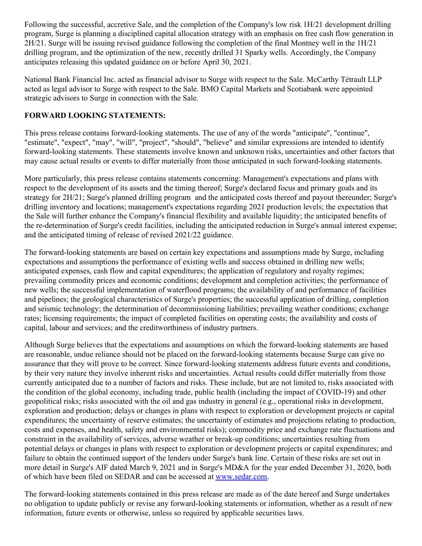Following the successful, accretive Sale, and the completion of the Company's low risk 1H/21 development drilling program, Surge is planning a disciplined capital allocation strategy with an emphasis on free cash flow generation in 2H/21. Surge will be issuing revised guidance following the completion of the final Montney well in the 1H/21 drilling program, and the optimization of the new, recently drilled 31 Sparky wells. Accordingly, the Company anticipates releasing this updated guidance on or before April 30, 2021.

National Bank Financial Inc. acted as financial advisor to Surge with respect to the Sale. McCarthy Tétrault LLP acted as legal advisor to Surge with respect to the Sale. BMO Capital Markets and Scotiabank were appointed strategic advisors to Surge in connection with the Sale.

#### **FORWARD LOOKING STATEMENTS:**

This press release contains forward-looking statements. The use of any of the words "anticipate", "continue", "estimate", "expect", "may", "will", "project", "should", "believe" and similar expressions are intended to identify forward-looking statements. These statements involve known and unknown risks, uncertainties and other factors that may cause actual results or events to differ materially from those anticipated in such forward-looking statements.

More particularly, this press release contains statements concerning: Management's expectations and plans with respect to the development of its assets and the timing thereof; Surge's declared focus and primary goals and its strategy for 2H/21; Surge's planned drilling program and the anticipated costs thereof and payout thereunder; Surge's drilling inventory and locations; management's expectations regarding 2021 production levels; the expectation that the Sale will further enhance the Company's financial flexibility and available liquidity; the anticipated benefits of the re-determination of Surge's credit facilities, including the anticipated reduction in Surge's annual interest expense; and the anticipated timing of release of revised 2021/22 guidance.

The forward-looking statements are based on certain key expectations and assumptions made by Surge, including expectations and assumptions the performance of existing wells and success obtained in drilling new wells; anticipated expenses, cash flow and capital expenditures; the application of regulatory and royalty regimes; prevailing commodity prices and economic conditions; development and completion activities; the performance of new wells; the successful implementation of waterflood programs; the availability of and performance of facilities and pipelines; the geological characteristics of Surge's properties; the successful application of drilling, completion and seismic technology; the determination of decommissioning liabilities; prevailing weather conditions; exchange rates; licensing requirements; the impact of completed facilities on operating costs; the availability and costs of capital, labour and services; and the creditworthiness of industry partners.

Although Surge believes that the expectations and assumptions on which the forward-looking statements are based are reasonable, undue reliance should not be placed on the forward-looking statements because Surge can give no assurance that they will prove to be correct. Since forward-looking statements address future events and conditions, by their very nature they involve inherent risks and uncertainties. Actual results could differ materially from those currently anticipated due to a number of factors and risks. These include, but are not limited to, risks associated with the condition of the global economy, including trade, public health (including the impact of COVID-19) and other geopolitical risks; risks associated with the oil and gas industry in general (e.g., operational risks in development, exploration and production; delays or changes in plans with respect to exploration or development projects or capital expenditures; the uncertainty of reserve estimates; the uncertainty of estimates and projections relating to production, costs and expenses, and health, safety and environmental risks); commodity price and exchange rate fluctuations and constraint in the availability of services, adverse weather or break-up conditions; uncertainties resulting from potential delays or changes in plans with respect to exploration or development projects or capital expenditures; and failure to obtain the continued support of the lenders under Surge's bank line. Certain of these risks are set out in more detail in Surge's AIF dated March 9, 2021 and in Surge's MD&A for the year ended December 31, 2020, both of which have been filed on SEDAR and can be accessed at [www.sedar.com](https://c212.net/c/link/?t=0&l=en&o=3108374-1&h=2885376599&u=http%3A%2F%2Fwww.sedar.com%2F&a=www.sedar.com).

The forward-looking statements contained in this press release are made as of the date hereof and Surge undertakes no obligation to update publicly or revise any forward-looking statements or information, whether as a result of new information, future events or otherwise, unless so required by applicable securities laws.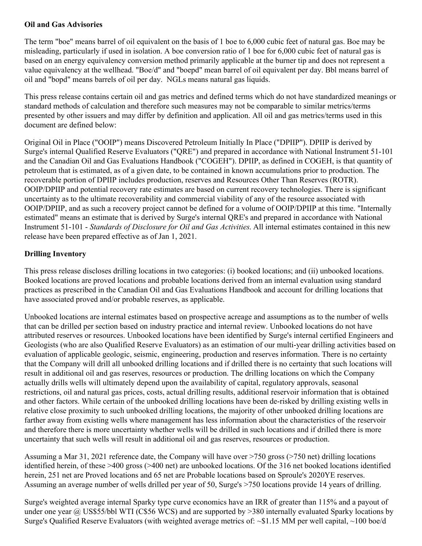#### **Oil and Gas Advisories**

The term "boe" means barrel of oil equivalent on the basis of 1 boe to 6,000 cubic feet of natural gas. Boe may be misleading, particularly if used in isolation. A boe conversion ratio of 1 boe for 6,000 cubic feet of natural gas is based on an energy equivalency conversion method primarily applicable at the burner tip and does not represent a value equivalency at the wellhead. "Boe/d" and "boepd" mean barrel of oil equivalent per day. Bbl means barrel of oil and "bopd" means barrels of oil per day. NGLs means natural gas liquids.

This press release contains certain oil and gas metrics and defined terms which do not have standardized meanings or standard methods of calculation and therefore such measures may not be comparable to similar metrics/terms presented by other issuers and may differ by definition and application. All oil and gas metrics/terms used in this document are defined below:

Original Oil in Place ("OOIP") means Discovered Petroleum Initially In Place ("DPIIP"). DPIIP is derived by Surge's internal Qualified Reserve Evaluators ("QRE") and prepared in accordance with National Instrument 51-101 and the Canadian Oil and Gas Evaluations Handbook ("COGEH"). DPIIP, as defined in COGEH, is that quantity of petroleum that is estimated, as of a given date, to be contained in known accumulations prior to production. The recoverable portion of DPIIP includes production, reserves and Resources Other Than Reserves (ROTR). OOIP/DPIIP and potential recovery rate estimates are based on current recovery technologies. There is significant uncertainty as to the ultimate recoverability and commercial viability of any of the resource associated with OOIP/DPIIP, and as such a recovery project cannot be defined for a volume of OOIP/DPIIP at this time. "Internally estimated" means an estimate that is derived by Surge's internal QRE's and prepared in accordance with National Instrument 51-101 - *Standards of Disclosure for Oil and Gas Activities*. All internal estimates contained in this new release have been prepared effective as of Jan 1, 2021.

# **Drilling Inventory**

This press release discloses drilling locations in two categories: (i) booked locations; and (ii) unbooked locations. Booked locations are proved locations and probable locations derived from an internal evaluation using standard practices as prescribed in the Canadian Oil and Gas Evaluations Handbook and account for drilling locations that have associated proved and/or probable reserves, as applicable.

Unbooked locations are internal estimates based on prospective acreage and assumptions as to the number of wells that can be drilled per section based on industry practice and internal review. Unbooked locations do not have attributed reserves or resources. Unbooked locations have been identified by Surge's internal certified Engineers and Geologists (who are also Qualified Reserve Evaluators) as an estimation of our multi-year drilling activities based on evaluation of applicable geologic, seismic, engineering, production and reserves information. There is no certainty that the Company will drill all unbooked drilling locations and if drilled there is no certainty that such locations will result in additional oil and gas reserves, resources or production. The drilling locations on which the Company actually drills wells will ultimately depend upon the availability of capital, regulatory approvals, seasonal restrictions, oil and natural gas prices, costs, actual drilling results, additional reservoir information that is obtained and other factors. While certain of the unbooked drilling locations have been de-risked by drilling existing wells in relative close proximity to such unbooked drilling locations, the majority of other unbooked drilling locations are farther away from existing wells where management has less information about the characteristics of the reservoir and therefore there is more uncertainty whether wells will be drilled in such locations and if drilled there is more uncertainty that such wells will result in additional oil and gas reserves, resources or production.

Assuming a Mar 31, 2021 reference date, the Company will have over >750 gross (>750 net) drilling locations identified herein, of these >400 gross (>400 net) are unbooked locations. Of the 316 net booked locations identified herein, 251 net are Proved locations and 65 net are Probable locations based on Sproule's 2020YE reserves. Assuming an average number of wells drilled per year of 50, Surge's >750 locations provide 14 years of drilling.

Surge's weighted average internal Sparky type curve economics have an IRR of greater than 115% and a payout of under one year @ US\$55/bbl WTI (C\$56 WCS) and are supported by >380 internally evaluated Sparky locations by Surge's Qualified Reserve Evaluators (with weighted average metrics of: ~\$1.15 MM per well capital, ~100 boe/d